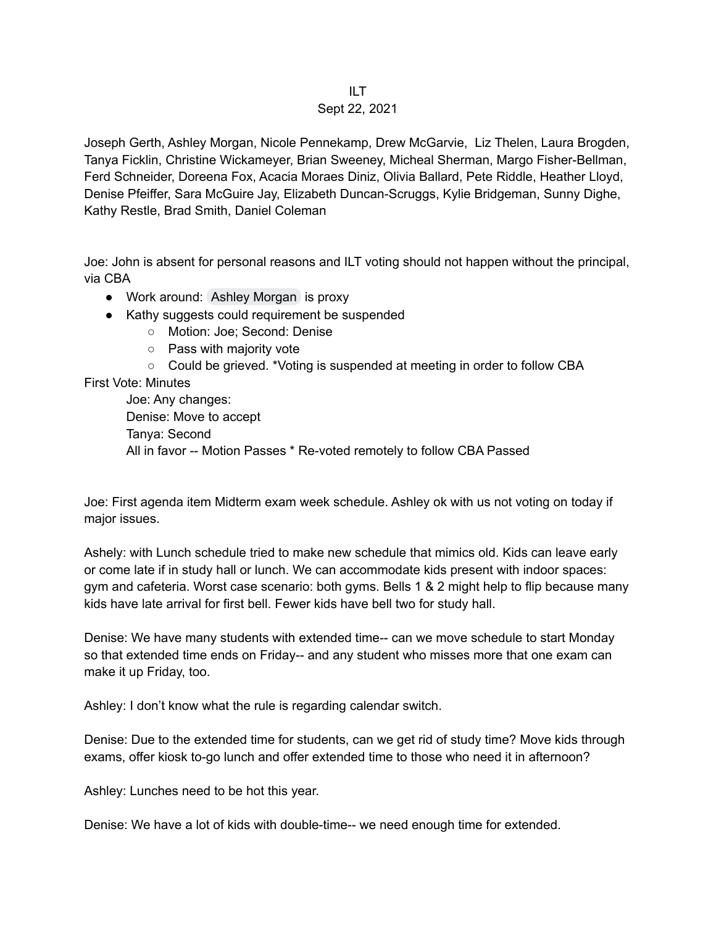## ILT Sept 22, 2021

Joseph Gerth, Ashley Morgan, Nicole Pennekamp, Drew McGarvie, Liz Thelen, Laura Brogden, Tanya Ficklin, Christine Wickameyer, Brian Sweeney, Micheal Sherman, Margo Fisher-Bellman, Ferd Schneider, Doreena Fox, Acacia Moraes Diniz, Olivia Ballard, Pete Riddle, Heather Lloyd, Denise Pfeiffer, Sara McGuire Jay, Elizabeth Duncan-Scruggs, Kylie Bridgeman, Sunny Dighe, Kathy Restle, Brad Smith, Daniel Coleman

Joe: John is absent for personal reasons and ILT voting should not happen without the principal, via CBA

- Work around: Ashley [Morgan](mailto:morgana@cpsboe.k12.oh.us) is proxy
- Kathy suggests could requirement be suspended
	- Motion: Joe; Second: Denise
	- Pass with majority vote
	- Could be grieved. \*Voting is suspended at meeting in order to follow CBA

## First Vote: Minutes

Joe: Any changes: Denise: Move to accept Tanya: Second All in favor -- Motion Passes \* Re-voted remotely to follow CBA Passed

Joe: First agenda item Midterm exam week schedule. Ashley ok with us not voting on today if major issues.

Ashely: with Lunch schedule tried to make new schedule that mimics old. Kids can leave early or come late if in study hall or lunch. We can accommodate kids present with indoor spaces: gym and cafeteria. Worst case scenario: both gyms. Bells 1 & 2 might help to flip because many kids have late arrival for first bell. Fewer kids have bell two for study hall.

Denise: We have many students with extended time-- can we move schedule to start Monday so that extended time ends on Friday-- and any student who misses more that one exam can make it up Friday, too.

Ashley: I don't know what the rule is regarding calendar switch.

Denise: Due to the extended time for students, can we get rid of study time? Move kids through exams, offer kiosk to-go lunch and offer extended time to those who need it in afternoon?

Ashley: Lunches need to be hot this year.

Denise: We have a lot of kids with double-time-- we need enough time for extended.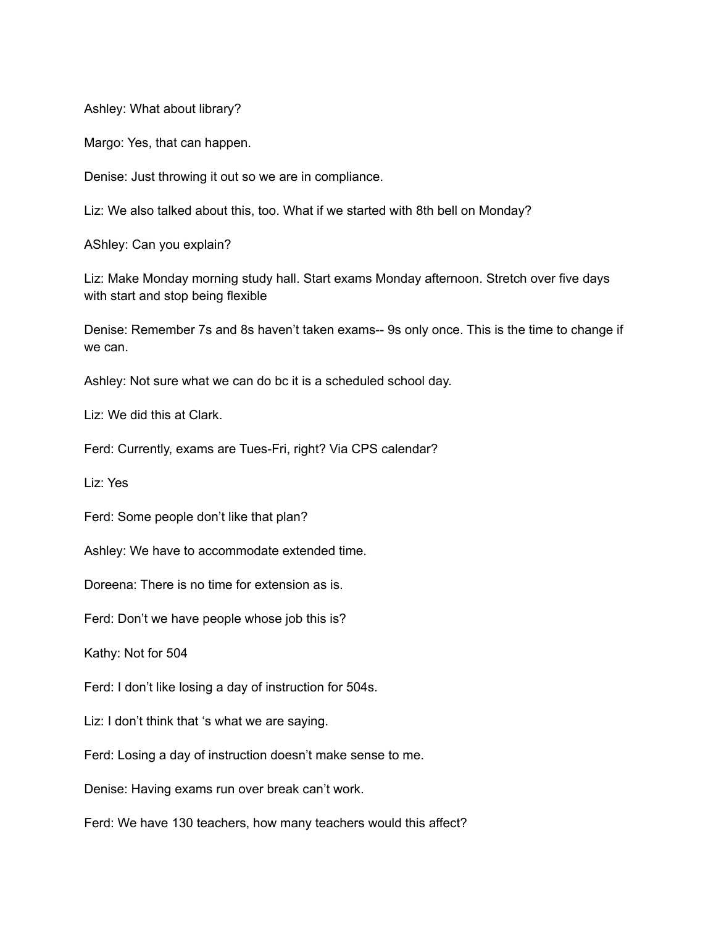Ashley: What about library?

Margo: Yes, that can happen.

Denise: Just throwing it out so we are in compliance.

Liz: We also talked about this, too. What if we started with 8th bell on Monday?

AShley: Can you explain?

Liz: Make Monday morning study hall. Start exams Monday afternoon. Stretch over five days with start and stop being flexible

Denise: Remember 7s and 8s haven't taken exams-- 9s only once. This is the time to change if we can.

Ashley: Not sure what we can do bc it is a scheduled school day.

Liz: We did this at Clark.

Ferd: Currently, exams are Tues-Fri, right? Via CPS calendar?

Liz: Yes

Ferd: Some people don't like that plan?

Ashley: We have to accommodate extended time.

Doreena: There is no time for extension as is.

Ferd: Don't we have people whose job this is?

Kathy: Not for 504

Ferd: I don't like losing a day of instruction for 504s.

Liz: I don't think that 's what we are saying.

Ferd: Losing a day of instruction doesn't make sense to me.

Denise: Having exams run over break can't work.

Ferd: We have 130 teachers, how many teachers would this affect?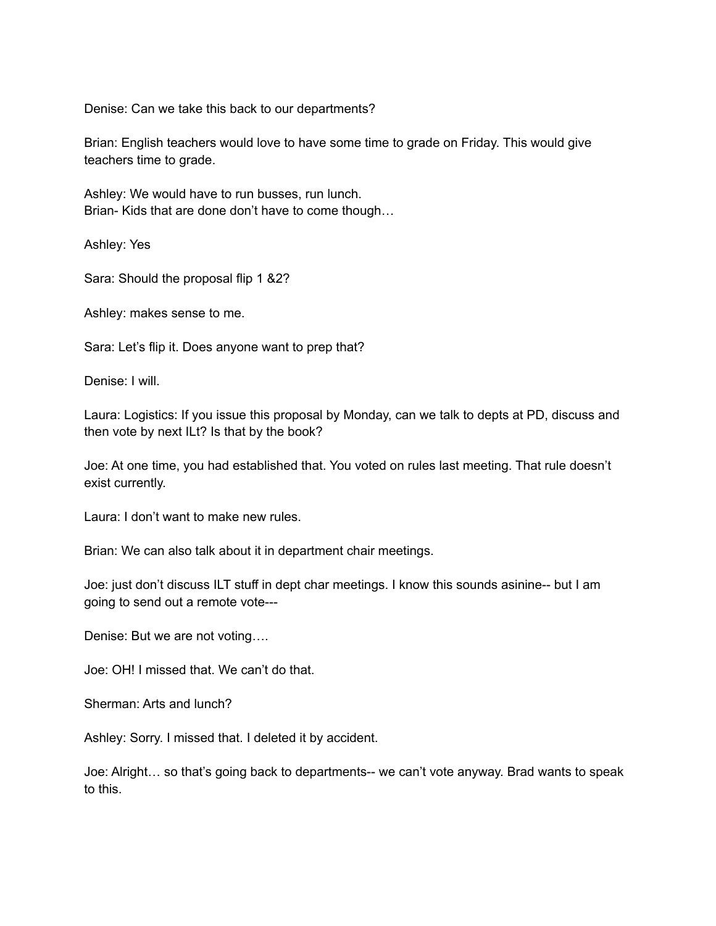Denise: Can we take this back to our departments?

Brian: English teachers would love to have some time to grade on Friday. This would give teachers time to grade.

Ashley: We would have to run busses, run lunch. Brian- Kids that are done don't have to come though…

Ashley: Yes

Sara: Should the proposal flip 1 &2?

Ashley: makes sense to me.

Sara: Let's flip it. Does anyone want to prep that?

Denise: I will.

Laura: Logistics: If you issue this proposal by Monday, can we talk to depts at PD, discuss and then vote by next ILt? Is that by the book?

Joe: At one time, you had established that. You voted on rules last meeting. That rule doesn't exist currently.

Laura: I don't want to make new rules.

Brian: We can also talk about it in department chair meetings.

Joe: just don't discuss ILT stuff in dept char meetings. I know this sounds asinine-- but I am going to send out a remote vote---

Denise: But we are not voting….

Joe: OH! I missed that. We can't do that.

Sherman: Arts and lunch?

Ashley: Sorry. I missed that. I deleted it by accident.

Joe: Alright… so that's going back to departments-- we can't vote anyway. Brad wants to speak to this.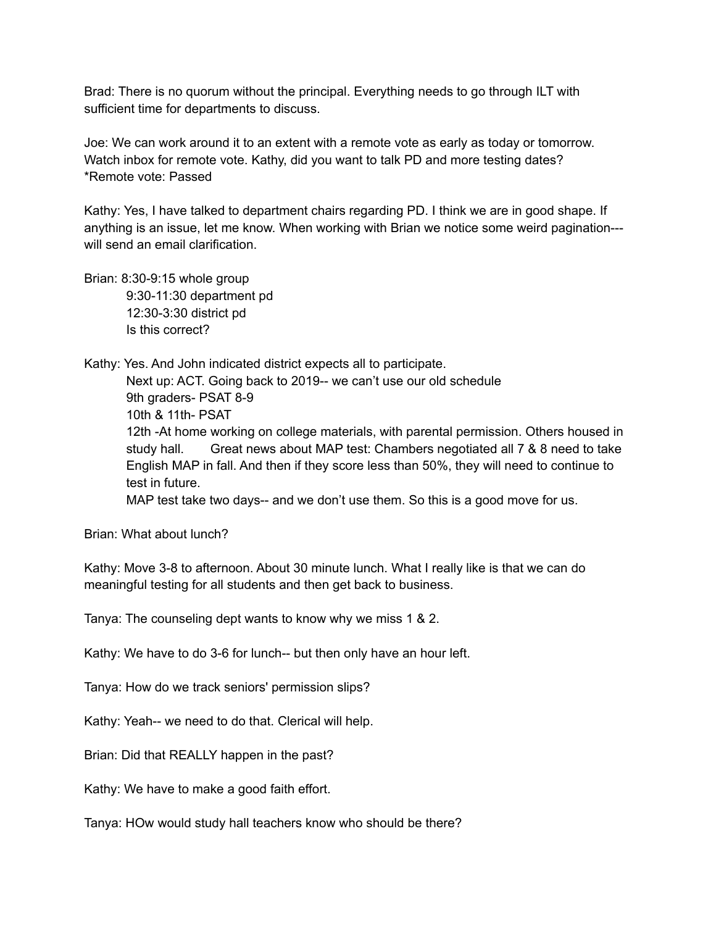Brad: There is no quorum without the principal. Everything needs to go through ILT with sufficient time for departments to discuss.

Joe: We can work around it to an extent with a remote vote as early as today or tomorrow. Watch inbox for remote vote. Kathy, did you want to talk PD and more testing dates? \*Remote vote: Passed

Kathy: Yes, I have talked to department chairs regarding PD. I think we are in good shape. If anything is an issue, let me know. When working with Brian we notice some weird pagination-- will send an email clarification

Brian: 8:30-9:15 whole group 9:30-11:30 department pd 12:30-3:30 district pd Is this correct?

Kathy: Yes. And John indicated district expects all to participate. Next up: ACT. Going back to 2019-- we can't use our old schedule 9th graders- PSAT 8-9 10th & 11th- PSAT 12th -At home working on college materials, with parental permission. Others housed in study hall. Great news about MAP test: Chambers negotiated all 7 & 8 need to take English MAP in fall. And then if they score less than 50%, they will need to continue to test in future. MAP test take two days-- and we don't use them. So this is a good move for us.

Brian: What about lunch?

Kathy: Move 3-8 to afternoon. About 30 minute lunch. What I really like is that we can do meaningful testing for all students and then get back to business.

Tanya: The counseling dept wants to know why we miss 1 & 2.

Kathy: We have to do 3-6 for lunch-- but then only have an hour left.

Tanya: How do we track seniors' permission slips?

Kathy: Yeah-- we need to do that. Clerical will help.

Brian: Did that REALLY happen in the past?

Kathy: We have to make a good faith effort.

Tanya: HOw would study hall teachers know who should be there?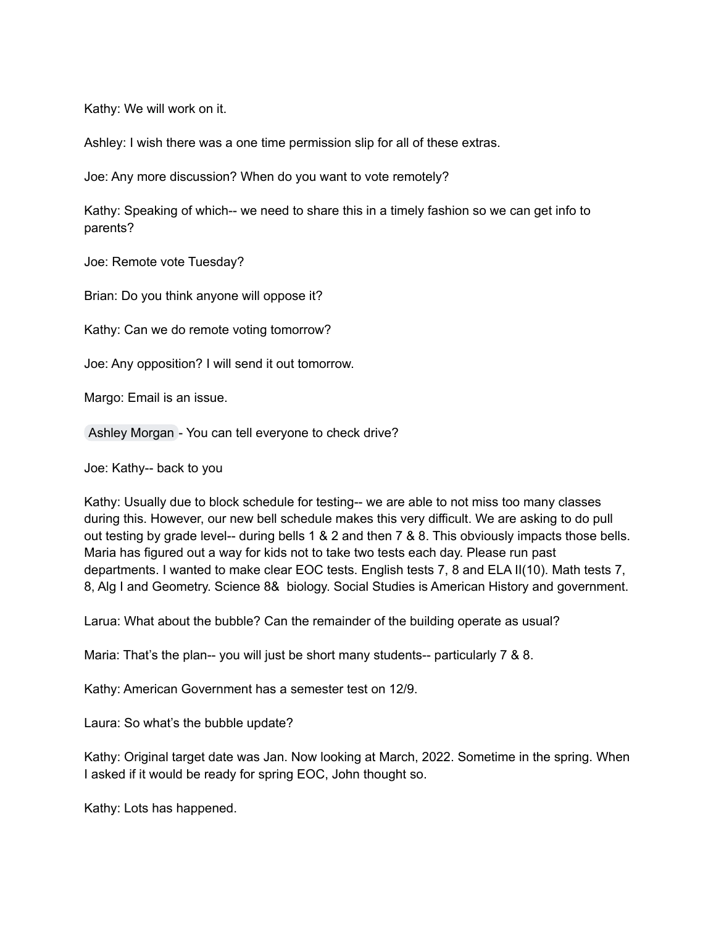Kathy: We will work on it.

Ashley: I wish there was a one time permission slip for all of these extras.

Joe: Any more discussion? When do you want to vote remotely?

Kathy: Speaking of which-- we need to share this in a timely fashion so we can get info to parents?

Joe: Remote vote Tuesday?

Brian: Do you think anyone will oppose it?

Kathy: Can we do remote voting tomorrow?

Joe: Any opposition? I will send it out tomorrow.

Margo: Email is an issue.

Ashley [Morgan](mailto:morgana@cpsboe.k12.oh.us) - You can tell everyone to check drive?

Joe: Kathy-- back to you

Kathy: Usually due to block schedule for testing-- we are able to not miss too many classes during this. However, our new bell schedule makes this very difficult. We are asking to do pull out testing by grade level-- during bells 1 & 2 and then 7 & 8. This obviously impacts those bells. Maria has figured out a way for kids not to take two tests each day. Please run past departments. I wanted to make clear EOC tests. English tests 7, 8 and ELA II(10). Math tests 7, 8, Alg I and Geometry. Science 8& biology. Social Studies is American History and government.

Larua: What about the bubble? Can the remainder of the building operate as usual?

Maria: That's the plan-- you will just be short many students-- particularly 7 & 8.

Kathy: American Government has a semester test on 12/9.

Laura: So what's the bubble update?

Kathy: Original target date was Jan. Now looking at March, 2022. Sometime in the spring. When I asked if it would be ready for spring EOC, John thought so.

Kathy: Lots has happened.